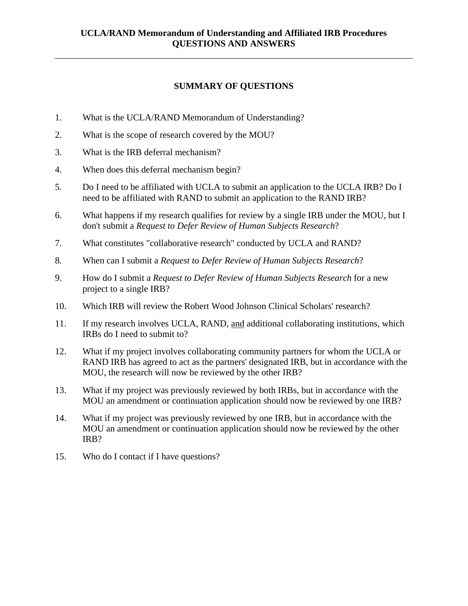## **SUMMARY OF QUESTIONS**

- 1. What is the UCLA/RAND Memorandum of Understanding?
- 2. What is the scope of research covered by the MOU?
- 3. What is the IRB deferral mechanism?

 $\overline{a}$ 

- 4. When does this deferral mechanism begin?
- 5. Do I need to be affiliated with UCLA to submit an application to the UCLA IRB? Do I need to be affiliated with RAND to submit an application to the RAND IRB?
- 6. What happens if my research qualifies for review by a single IRB under the MOU, but I don't submit a *Request to Defer Review of Human Subjects Research*?
- 7. What constitutes "collaborative research" conducted by UCLA and RAND?
- 8. When can I submit a *Request to Defer Review of Human Subjects Research*?
- 9. How do I submit a *Request to Defer Review of Human Subjects Research* for a new project to a single IRB?
- 10. Which IRB will review the Robert Wood Johnson Clinical Scholars' research?
- 11. If my research involves UCLA, RAND, and additional collaborating institutions, which IRBs do I need to submit to?
- 12. What if my project involves collaborating community partners for whom the UCLA or RAND IRB has agreed to act as the partners' designated IRB, but in accordance with the MOU, the research will now be reviewed by the other IRB?
- 13. What if my project was previously reviewed by both IRBs, but in accordance with the MOU an amendment or continuation application should now be reviewed by one IRB?
- 14. What if my project was previously reviewed by one IRB, but in accordance with the MOU an amendment or continuation application should now be reviewed by the other IRB?
- 15. Who do I contact if I have questions?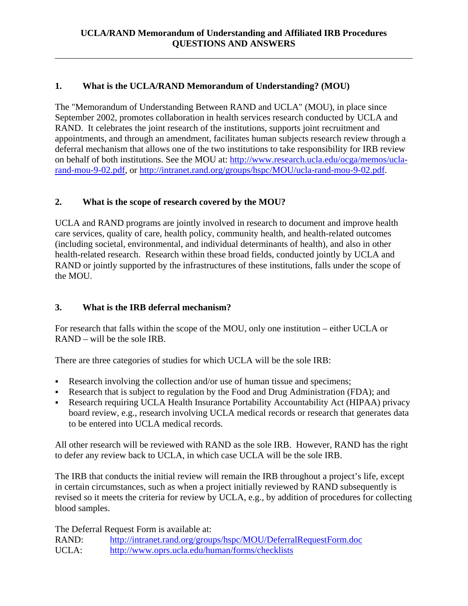# **1. What is the UCLA/RAND Memorandum of Understanding? (MOU)**

The "Memorandum of Understanding Between RAND and UCLA" (MOU), in place since September 2002, promotes collaboration in health services research conducted by UCLA and RAND. It celebrates the joint research of the institutions, supports joint recruitment and appointments, and through an amendment, facilitates human subjects research review through a deferral mechanism that allows one of the two institutions to take responsibility for IRB review on behalf of both institutions. See the MOU at: http://www.research.ucla.edu/ocga/memos/uclarand-mou-9-02.pdf, or http://intranet.rand.org/groups/hspc/MOU/ucla-rand-mou-9-02.pdf.

# **2. What is the scope of research covered by the MOU?**

UCLA and RAND programs are jointly involved in research to document and improve health care services, quality of care, health policy, community health, and health-related outcomes (including societal, environmental, and individual determinants of health), and also in other health-related research. Research within these broad fields, conducted jointly by UCLA and RAND or jointly supported by the infrastructures of these institutions, falls under the scope of the MOU.

# **3. What is the IRB deferral mechanism?**

 $\overline{a}$ 

For research that falls within the scope of the MOU, only one institution – either UCLA or RAND – will be the sole IRB.

There are three categories of studies for which UCLA will be the sole IRB:

- Research involving the collection and/or use of human tissue and specimens;
- Research that is subject to regulation by the Food and Drug Administration (FDA); and
- Research requiring UCLA Health Insurance Portability Accountability Act (HIPAA) privacy board review, e.g., research involving UCLA medical records or research that generates data to be entered into UCLA medical records.

All other research will be reviewed with RAND as the sole IRB. However, RAND has the right to defer any review back to UCLA, in which case UCLA will be the sole IRB.

The IRB that conducts the initial review will remain the IRB throughout a project's life, except in certain circumstances, such as when a project initially reviewed by RAND subsequently is revised so it meets the criteria for review by UCLA, e.g., by addition of procedures for collecting blood samples.

The Deferral Request Form is available at:

RAND: http://intranet.rand.org/groups/hspc/MOU/DeferralRequestForm.doc UCLA: http://www.oprs.ucla.edu/human/forms/checklists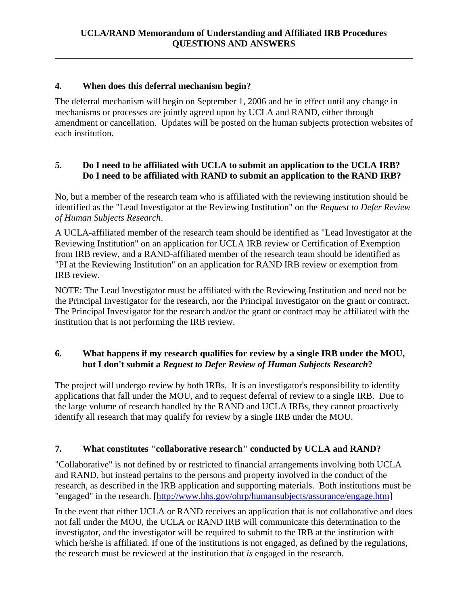## **4. When does this deferral mechanism begin?**

 $\overline{a}$ 

The deferral mechanism will begin on September 1, 2006 and be in effect until any change in mechanisms or processes are jointly agreed upon by UCLA and RAND, either through amendment or cancellation. Updates will be posted on the human subjects protection websites of each institution.

#### **5. Do I need to be affiliated with UCLA to submit an application to the UCLA IRB? Do I need to be affiliated with RAND to submit an application to the RAND IRB?**

No, but a member of the research team who is affiliated with the reviewing institution should be identified as the "Lead Investigator at the Reviewing Institution" on the *Request to Defer Review of Human Subjects Research*.

A UCLA-affiliated member of the research team should be identified as "Lead Investigator at the Reviewing Institution" on an application for UCLA IRB review or Certification of Exemption from IRB review, and a RAND-affiliated member of the research team should be identified as "PI at the Reviewing Institution" on an application for RAND IRB review or exemption from IRB review.

NOTE: The Lead Investigator must be affiliated with the Reviewing Institution and need not be the Principal Investigator for the research, nor the Principal Investigator on the grant or contract. The Principal Investigator for the research and/or the grant or contract may be affiliated with the institution that is not performing the IRB review.

### **6. What happens if my research qualifies for review by a single IRB under the MOU, but I don't submit a** *Request to Defer Review of Human Subjects Research***?**

The project will undergo review by both IRBs. It is an investigator's responsibility to identify applications that fall under the MOU, and to request deferral of review to a single IRB. Due to the large volume of research handled by the RAND and UCLA IRBs, they cannot proactively identify all research that may qualify for review by a single IRB under the MOU.

# **7. What constitutes "collaborative research" conducted by UCLA and RAND?**

"Collaborative" is not defined by or restricted to financial arrangements involving both UCLA and RAND, but instead pertains to the persons and property involved in the conduct of the research, as described in the IRB application and supporting materials. Both institutions must be "engaged" in the research. [http://www.hhs.gov/ohrp/humansubjects/assurance/engage.htm]

In the event that either UCLA or RAND receives an application that is not collaborative and does not fall under the MOU, the UCLA or RAND IRB will communicate this determination to the investigator, and the investigator will be required to submit to the IRB at the institution with which he/she is affiliated. If one of the institutions is not engaged, as defined by the regulations, the research must be reviewed at the institution that *is* engaged in the research.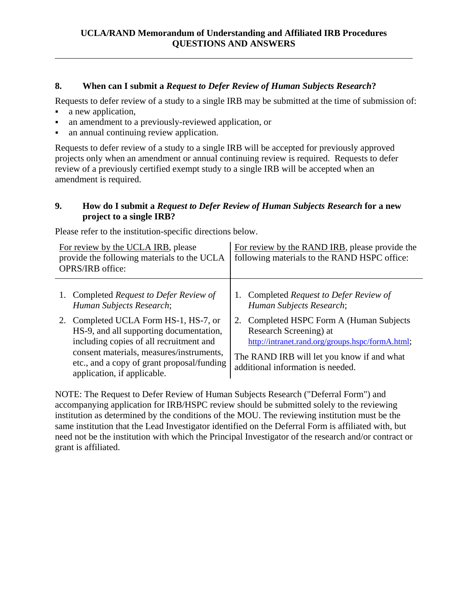### **8. When can I submit a** *Request to Defer Review of Human Subjects Research***?**

Requests to defer review of a study to a single IRB may be submitted at the time of submission of:

a new application,

 $\overline{a}$ 

- an amendment to a previously-reviewed application, or
- an annual continuing review application.

Requests to defer review of a study to a single IRB will be accepted for previously approved projects only when an amendment or annual continuing review is required. Requests to defer review of a previously certified exempt study to a single IRB will be accepted when an amendment is required.

#### **9. How do I submit a** *Request to Defer Review of Human Subjects Research* **for a new project to a single IRB?**

Please refer to the institution-specific directions below.

| For review by the UCLA IRB, please<br>provide the following materials to the UCLA<br>OPRS/IRB office:                                                                                                                                                | For review by the RAND IRB, please provide the<br>following materials to the RAND HSPC office:                                                                                                             |  |
|------------------------------------------------------------------------------------------------------------------------------------------------------------------------------------------------------------------------------------------------------|------------------------------------------------------------------------------------------------------------------------------------------------------------------------------------------------------------|--|
| 1. Completed Request to Defer Review of<br>Human Subjects Research;                                                                                                                                                                                  | 1. Completed Request to Defer Review of<br>Human Subjects Research;                                                                                                                                        |  |
| 2. Completed UCLA Form HS-1, HS-7, or<br>HS-9, and all supporting documentation,<br>including copies of all recruitment and<br>consent materials, measures/instruments,<br>etc., and a copy of grant proposal/funding<br>application, if applicable. | 2. Completed HSPC Form A (Human Subjects)<br>Research Screening) at<br>http://intranet.rand.org/groups.hspc/formA.html;<br>The RAND IRB will let you know if and what<br>additional information is needed. |  |

NOTE: The Request to Defer Review of Human Subjects Research ("Deferral Form") and accompanying application for IRB/HSPC review should be submitted solely to the reviewing institution as determined by the conditions of the MOU. The reviewing institution must be the same institution that the Lead Investigator identified on the Deferral Form is affiliated with, but need not be the institution with which the Principal Investigator of the research and/or contract or grant is affiliated.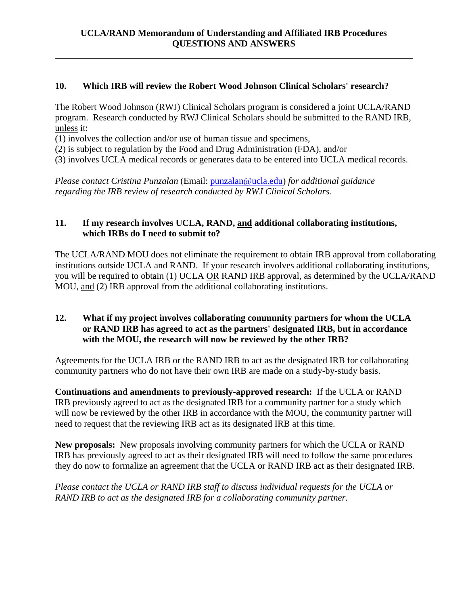### **10. Which IRB will review the Robert Wood Johnson Clinical Scholars' research?**

The Robert Wood Johnson (RWJ) Clinical Scholars program is considered a joint UCLA/RAND program. Research conducted by RWJ Clinical Scholars should be submitted to the RAND IRB, unless it:

(1) involves the collection and/or use of human tissue and specimens,

 $\overline{a}$ 

(2) is subject to regulation by the Food and Drug Administration (FDA), and/or

(3) involves UCLA medical records or generates data to be entered into UCLA medical records.

*Please contact Cristina Punzalan* (Email: punzalan@ucla.edu) *for additional guidance regarding the IRB review of research conducted by RWJ Clinical Scholars.* 

### **11. If my research involves UCLA, RAND, and additional collaborating institutions, which IRBs do I need to submit to?**

The UCLA/RAND MOU does not eliminate the requirement to obtain IRB approval from collaborating institutions outside UCLA and RAND. If your research involves additional collaborating institutions, you will be required to obtain (1) UCLA OR RAND IRB approval, as determined by the UCLA/RAND MOU, and (2) IRB approval from the additional collaborating institutions.

#### **12. What if my project involves collaborating community partners for whom the UCLA or RAND IRB has agreed to act as the partners' designated IRB, but in accordance with the MOU, the research will now be reviewed by the other IRB?**

Agreements for the UCLA IRB or the RAND IRB to act as the designated IRB for collaborating community partners who do not have their own IRB are made on a study-by-study basis.

**Continuations and amendments to previously-approved research:** If the UCLA or RAND IRB previously agreed to act as the designated IRB for a community partner for a study which will now be reviewed by the other IRB in accordance with the MOU, the community partner will need to request that the reviewing IRB act as its designated IRB at this time.

**New proposals:** New proposals involving community partners for which the UCLA or RAND IRB has previously agreed to act as their designated IRB will need to follow the same procedures they do now to formalize an agreement that the UCLA or RAND IRB act as their designated IRB.

*Please contact the UCLA or RAND IRB staff to discuss individual requests for the UCLA or RAND IRB to act as the designated IRB for a collaborating community partner.*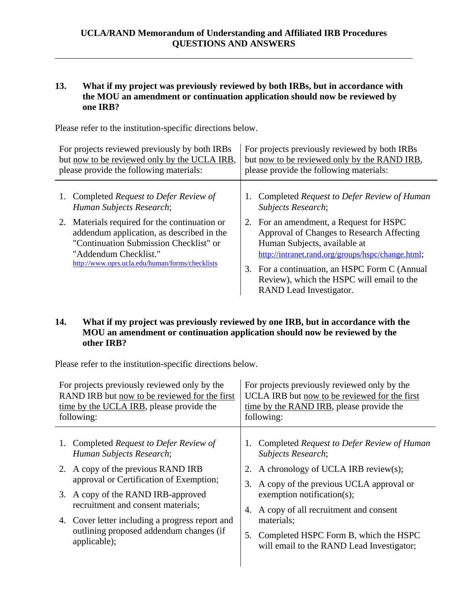#### **13. What if my project was previously reviewed by both IRBs, but in accordance with the MOU an amendment or continuation application should now be reviewed by one IRB?**

Please refer to the institution-specific directions below.

 $\overline{a}$ 

| For projects reviewed previously by both IRBs<br>but now to be reviewed only by the UCLA IRB,<br>please provide the following materials: |                                                                                                                                                                                                                  | For projects previously reviewed by both IRBs<br>but now to be reviewed only by the RAND IRB,<br>please provide the following materials: |                                                                                                                                                                                                                                                                                                    |
|------------------------------------------------------------------------------------------------------------------------------------------|------------------------------------------------------------------------------------------------------------------------------------------------------------------------------------------------------------------|------------------------------------------------------------------------------------------------------------------------------------------|----------------------------------------------------------------------------------------------------------------------------------------------------------------------------------------------------------------------------------------------------------------------------------------------------|
|                                                                                                                                          | 1. Completed Request to Defer Review of<br>Human Subjects Research;                                                                                                                                              |                                                                                                                                          | Completed Request to Defer Review of Human<br>Subjects Research;                                                                                                                                                                                                                                   |
|                                                                                                                                          | 2. Materials required for the continuation or<br>addendum application, as described in the<br>"Continuation Submission Checklist" or<br>"Addendum Checklist."<br>http://www.oprs.ucla.edu/human/forms/checklists |                                                                                                                                          | 2. For an amendment, a Request for HSPC<br>Approval of Changes to Research Affecting<br>Human Subjects, available at<br>http://intranet.rand.org/groups/hspc/change.html;<br>3. For a continuation, an HSPC Form C (Annual<br>Review), which the HSPC will email to the<br>RAND Lead Investigator. |

#### **14. What if my project was previously reviewed by one IRB, but in accordance with the MOU an amendment or continuation application should now be reviewed by the other IRB?**

Please refer to the institution-specific directions below.

| RAND IRB but now to be reviewed for the first<br>time by the UCLA IRB, please provide the<br>following:                                                                                                                                                                                                                                                             | For projects previously reviewed only by the<br>UCLA IRB but now to be reviewed for the first<br>time by the RAND IRB, please provide the<br>following:                                                                                                                                                                                 |  |
|---------------------------------------------------------------------------------------------------------------------------------------------------------------------------------------------------------------------------------------------------------------------------------------------------------------------------------------------------------------------|-----------------------------------------------------------------------------------------------------------------------------------------------------------------------------------------------------------------------------------------------------------------------------------------------------------------------------------------|--|
| Completed Request to Defer Review of<br>1.<br>Human Subjects Research;<br>2. A copy of the previous RAND IRB<br>approval or Certification of Exemption;<br>3.<br>3. A copy of the RAND IRB-approved<br>recruitment and consent materials;<br>4.<br>4. Cover letter including a progress report and<br>outlining proposed addendum changes (if<br>5.<br>applicable); | Completed Request to Defer Review of Human<br><b>Subjects Research;</b><br>2. A chronology of UCLA IRB review(s);<br>A copy of the previous UCLA approval or<br>exemption notification(s);<br>A copy of all recruitment and consent<br>materials;<br>Completed HSPC Form B, which the HSPC<br>will email to the RAND Lead Investigator; |  |